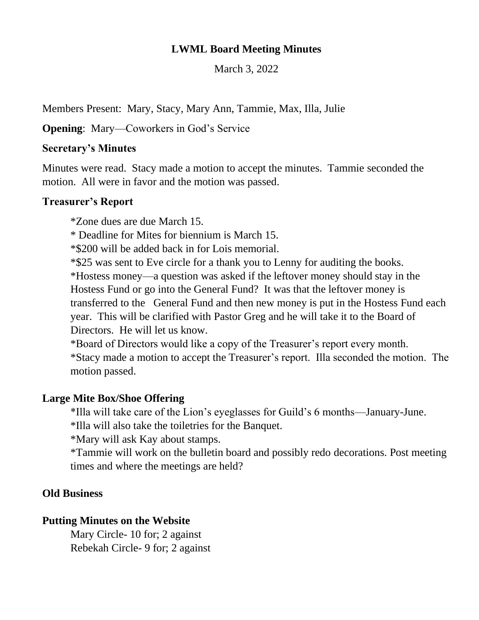# **LWML Board Meeting Minutes**

March 3, 2022

Members Present: Mary, Stacy, Mary Ann, Tammie, Max, Illa, Julie

**Opening:** Mary—Coworkers in God's Service

### **Secretary's Minutes**

Minutes were read. Stacy made a motion to accept the minutes. Tammie seconded the motion. All were in favor and the motion was passed.

# **Treasurer's Report**

\*Zone dues are due March 15.

\* Deadline for Mites for biennium is March 15.

\*\$200 will be added back in for Lois memorial.

\*\$25 was sent to Eve circle for a thank you to Lenny for auditing the books. \*Hostess money—a question was asked if the leftover money should stay in the Hostess Fund or go into the General Fund? It was that the leftover money is transferred to the General Fund and then new money is put in the Hostess Fund each year. This will be clarified with Pastor Greg and he will take it to the Board of Directors. He will let us know.

\*Board of Directors would like a copy of the Treasurer's report every month. \*Stacy made a motion to accept the Treasurer's report. Illa seconded the motion. The motion passed.

# **Large Mite Box/Shoe Offering**

\*Illa will take care of the Lion's eyeglasses for Guild's 6 months—January-June.

\*Illa will also take the toiletries for the Banquet.

\*Mary will ask Kay about stamps.

\*Tammie will work on the bulletin board and possibly redo decorations. Post meeting times and where the meetings are held?

# **Old Business**

### **Putting Minutes on the Website**

Mary Circle- 10 for; 2 against Rebekah Circle- 9 for; 2 against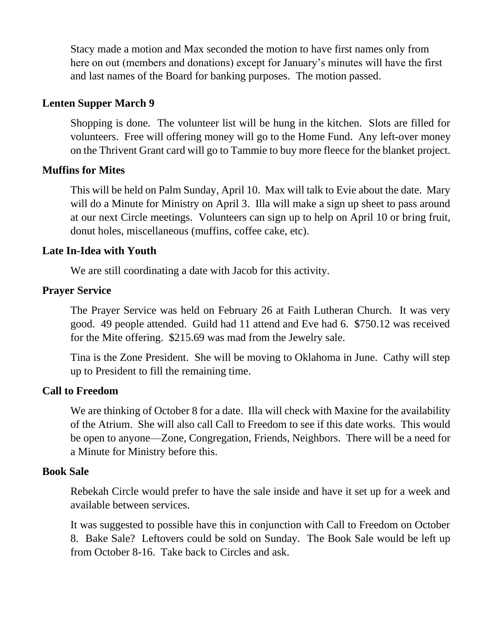Stacy made a motion and Max seconded the motion to have first names only from here on out (members and donations) except for January's minutes will have the first and last names of the Board for banking purposes. The motion passed.

### **Lenten Supper March 9**

Shopping is done. The volunteer list will be hung in the kitchen. Slots are filled for volunteers. Free will offering money will go to the Home Fund. Any left-over money on the Thrivent Grant card will go to Tammie to buy more fleece for the blanket project.

#### **Muffins for Mites**

This will be held on Palm Sunday, April 10. Max will talk to Evie about the date. Mary will do a Minute for Ministry on April 3. Illa will make a sign up sheet to pass around at our next Circle meetings. Volunteers can sign up to help on April 10 or bring fruit, donut holes, miscellaneous (muffins, coffee cake, etc).

### **Late In-Idea with Youth**

We are still coordinating a date with Jacob for this activity.

#### **Prayer Service**

The Prayer Service was held on February 26 at Faith Lutheran Church. It was very good. 49 people attended. Guild had 11 attend and Eve had 6. \$750.12 was received for the Mite offering. \$215.69 was mad from the Jewelry sale.

Tina is the Zone President. She will be moving to Oklahoma in June. Cathy will step up to President to fill the remaining time.

### **Call to Freedom**

We are thinking of October 8 for a date. Illa will check with Maxine for the availability of the Atrium. She will also call Call to Freedom to see if this date works. This would be open to anyone—Zone, Congregation, Friends, Neighbors. There will be a need for a Minute for Ministry before this.

#### **Book Sale**

Rebekah Circle would prefer to have the sale inside and have it set up for a week and available between services.

It was suggested to possible have this in conjunction with Call to Freedom on October 8. Bake Sale? Leftovers could be sold on Sunday. The Book Sale would be left up from October 8-16. Take back to Circles and ask.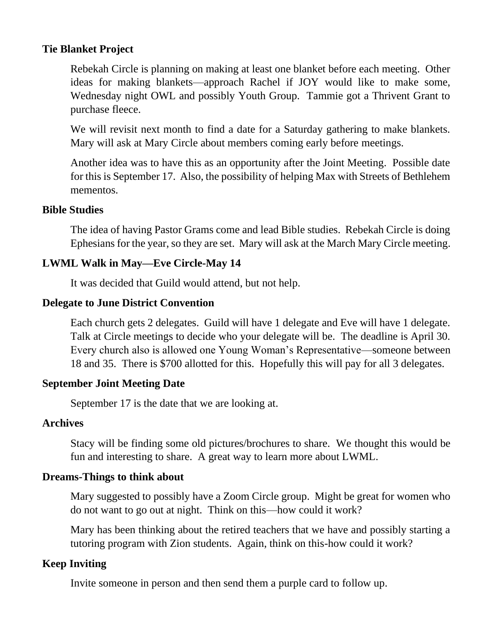# **Tie Blanket Project**

Rebekah Circle is planning on making at least one blanket before each meeting. Other ideas for making blankets—approach Rachel if JOY would like to make some, Wednesday night OWL and possibly Youth Group. Tammie got a Thrivent Grant to purchase fleece.

We will revisit next month to find a date for a Saturday gathering to make blankets. Mary will ask at Mary Circle about members coming early before meetings.

Another idea was to have this as an opportunity after the Joint Meeting. Possible date for this is September 17. Also, the possibility of helping Max with Streets of Bethlehem mementos.

### **Bible Studies**

The idea of having Pastor Grams come and lead Bible studies. Rebekah Circle is doing Ephesians for the year, so they are set. Mary will ask at the March Mary Circle meeting.

# **LWML Walk in May—Eve Circle-May 14**

It was decided that Guild would attend, but not help.

### **Delegate to June District Convention**

Each church gets 2 delegates. Guild will have 1 delegate and Eve will have 1 delegate. Talk at Circle meetings to decide who your delegate will be. The deadline is April 30. Every church also is allowed one Young Woman's Representative—someone between 18 and 35. There is \$700 allotted for this. Hopefully this will pay for all 3 delegates.

### **September Joint Meeting Date**

September 17 is the date that we are looking at.

# **Archives**

Stacy will be finding some old pictures/brochures to share. We thought this would be fun and interesting to share. A great way to learn more about LWML.

### **Dreams-Things to think about**

Mary suggested to possibly have a Zoom Circle group. Might be great for women who do not want to go out at night. Think on this—how could it work?

Mary has been thinking about the retired teachers that we have and possibly starting a tutoring program with Zion students. Again, think on this-how could it work?

# **Keep Inviting**

Invite someone in person and then send them a purple card to follow up.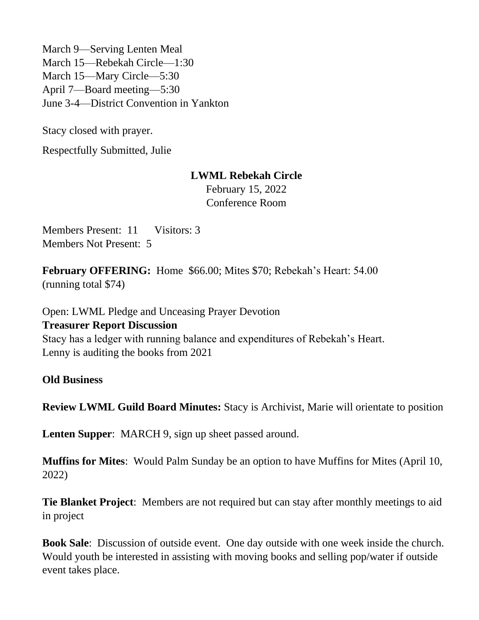March 9—Serving Lenten Meal March 15—Rebekah Circle—1:30 March 15—Mary Circle—5:30 April 7—Board meeting—5:30 June 3-4—District Convention in Yankton

Stacy closed with prayer.

Respectfully Submitted, Julie

### **LWML Rebekah Circle**

February 15, 2022 Conference Room

Members Present: 11 Visitors: 3 Members Not Present: 5

**February OFFERING:** Home \$66.00; Mites \$70; Rebekah's Heart: 54.00 (running total \$74)

Open: LWML Pledge and Unceasing Prayer Devotion **Treasurer Report Discussion** Stacy has a ledger with running balance and expenditures of Rebekah's Heart. Lenny is auditing the books from 2021

**Old Business**

**Review LWML Guild Board Minutes:** Stacy is Archivist, Marie will orientate to position

**Lenten Supper**: MARCH 9, sign up sheet passed around.

**Muffins for Mites**: Would Palm Sunday be an option to have Muffins for Mites (April 10, 2022)

**Tie Blanket Project**: Members are not required but can stay after monthly meetings to aid in project

**Book Sale**: Discussion of outside event. One day outside with one week inside the church. Would youth be interested in assisting with moving books and selling pop/water if outside event takes place.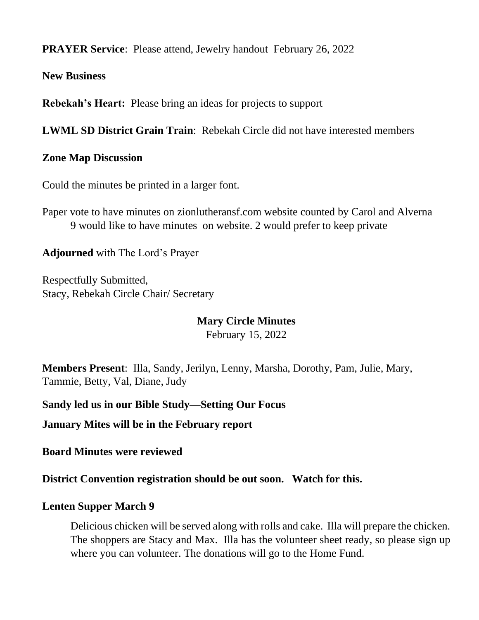**PRAYER Service**: Please attend, Jewelry handout February 26, 2022

**New Business**

**Rebekah's Heart:** Please bring an ideas for projects to support

**LWML SD District Grain Train**: Rebekah Circle did not have interested members

### **Zone Map Discussion**

Could the minutes be printed in a larger font.

Paper vote to have minutes on zionlutheransf.com website counted by Carol and Alverna 9 would like to have minutes on website. 2 would prefer to keep private

**Adjourned** with The Lord's Prayer

Respectfully Submitted, Stacy, Rebekah Circle Chair/ Secretary

### **Mary Circle Minutes**

February 15, 2022

**Members Present**: Illa, Sandy, Jerilyn, Lenny, Marsha, Dorothy, Pam, Julie, Mary, Tammie, Betty, Val, Diane, Judy

**Sandy led us in our Bible Study—Setting Our Focus**

**January Mites will be in the February report**

**Board Minutes were reviewed**

**District Convention registration should be out soon. Watch for this.**

### **Lenten Supper March 9**

Delicious chicken will be served along with rolls and cake. Illa will prepare the chicken. The shoppers are Stacy and Max. Illa has the volunteer sheet ready, so please sign up where you can volunteer. The donations will go to the Home Fund.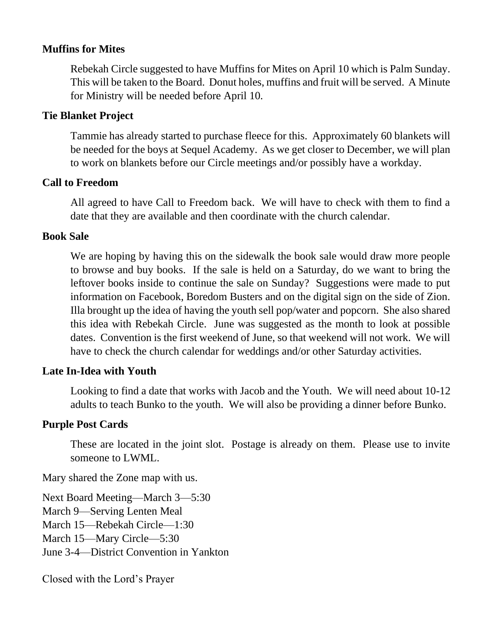## **Muffins for Mites**

Rebekah Circle suggested to have Muffins for Mites on April 10 which is Palm Sunday. This will be taken to the Board. Donut holes, muffins and fruit will be served. A Minute for Ministry will be needed before April 10.

### **Tie Blanket Project**

Tammie has already started to purchase fleece for this. Approximately 60 blankets will be needed for the boys at Sequel Academy. As we get closer to December, we will plan to work on blankets before our Circle meetings and/or possibly have a workday.

#### **Call to Freedom**

All agreed to have Call to Freedom back. We will have to check with them to find a date that they are available and then coordinate with the church calendar.

#### **Book Sale**

We are hoping by having this on the sidewalk the book sale would draw more people to browse and buy books. If the sale is held on a Saturday, do we want to bring the leftover books inside to continue the sale on Sunday? Suggestions were made to put information on Facebook, Boredom Busters and on the digital sign on the side of Zion. Illa brought up the idea of having the youth sell pop/water and popcorn. She also shared this idea with Rebekah Circle. June was suggested as the month to look at possible dates. Convention is the first weekend of June, so that weekend will not work. We will have to check the church calendar for weddings and/or other Saturday activities.

#### **Late In-Idea with Youth**

Looking to find a date that works with Jacob and the Youth. We will need about 10-12 adults to teach Bunko to the youth. We will also be providing a dinner before Bunko.

### **Purple Post Cards**

These are located in the joint slot. Postage is already on them. Please use to invite someone to LWML.

Mary shared the Zone map with us.

Next Board Meeting—March 3—5:30 March 9—Serving Lenten Meal March 15—Rebekah Circle—1:30 March 15—Mary Circle—5:30 June 3-4—District Convention in Yankton

Closed with the Lord's Prayer